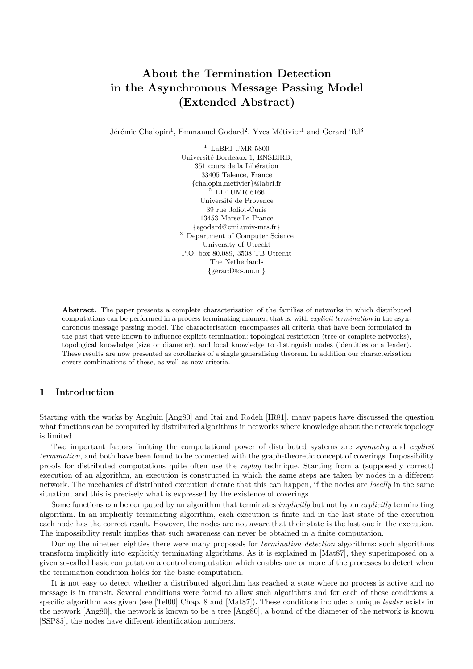# About the Termination Detection in the Asynchronous Message Passing Model (Extended Abstract)

Jérémie Chalopin<sup>1</sup>, Emmanuel Godard<sup>2</sup>, Yves Métivier<sup>1</sup> and Gerard Tel<sup>3</sup>

 $^{\rm 1}$  LaBRI UMR 5800 Universit´e Bordeaux 1, ENSEIRB, 351 cours de la Libération 33405 Talence, France {chalopin,metivier}@labri.fr  $^2$  LIF UMR 6166 Université de Provence 39 rue Joliot-Curie 13453 Marseille France {egodard@cmi.univ-mrs.fr} <sup>3</sup> Department of Computer Science University of Utrecht P.O. box 80.089, 3508 TB Utrecht The Netherlands {gerard@cs.uu.nl}

Abstract. The paper presents a complete characterisation of the families of networks in which distributed computations can be performed in a process terminating manner, that is, with explicit termination in the asynchronous message passing model. The characterisation encompasses all criteria that have been formulated in the past that were known to influence explicit termination: topological restriction (tree or complete networks), topological knowledge (size or diameter), and local knowledge to distinguish nodes (identities or a leader). These results are now presented as corollaries of a single generalising theorem. In addition our characterisation covers combinations of these, as well as new criteria.

# 1 Introduction

Starting with the works by Angluin [Ang80] and Itai and Rodeh [IR81], many papers have discussed the question what functions can be computed by distributed algorithms in networks where knowledge about the network topology is limited.

Two important factors limiting the computational power of distributed systems are *symmetry* and *explicit* termination, and both have been found to be connected with the graph-theoretic concept of coverings. Impossibility proofs for distributed computations quite often use the replay technique. Starting from a (supposedly correct) execution of an algorithm, an execution is constructed in which the same steps are taken by nodes in a different network. The mechanics of distributed execution dictate that this can happen, if the nodes are locally in the same situation, and this is precisely what is expressed by the existence of coverings.

Some functions can be computed by an algorithm that terminates implicitly but not by an explicitly terminating algorithm. In an implicitly terminating algorithm, each execution is finite and in the last state of the execution each node has the correct result. However, the nodes are not aware that their state is the last one in the execution. The impossibility result implies that such awareness can never be obtained in a finite computation.

During the nineteen eighties there were many proposals for *termination detection* algorithms: such algorithms transform implicitly into explicitly terminating algorithms. As it is explained in [Mat87], they superimposed on a given so-called basic computation a control computation which enables one or more of the processes to detect when the termination condition holds for the basic computation.

It is not easy to detect whether a distributed algorithm has reached a state where no process is active and no message is in transit. Several conditions were found to allow such algorithms and for each of these conditions a specific algorithm was given (see [Tel00] Chap. 8 and [Mat87]). These conditions include: a unique *leader* exists in the network [Ang80], the network is known to be a tree [Ang80], a bound of the diameter of the network is known [SSP85], the nodes have different identification numbers.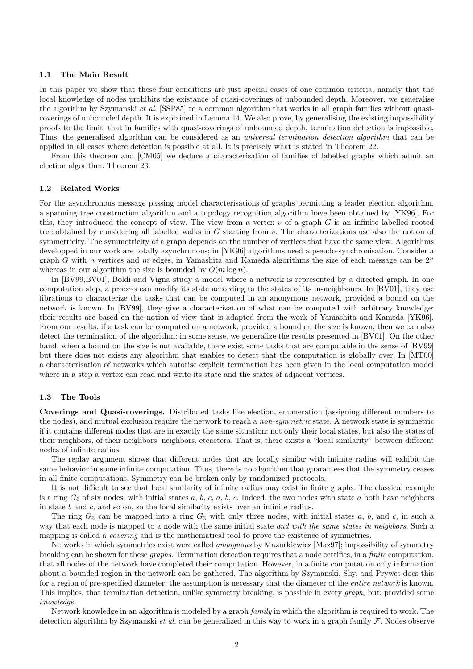#### 1.1 The Main Result

In this paper we show that these four conditions are just special cases of one common criteria, namely that the local knowledge of nodes prohibits the existance of quasi-coverings of unbounded depth. Moreover, we generalise the algorithm by Szymanski et al. [SSP85] to a common algorithm that works in all graph families without quasicoverings of unbounded depth. It is explained in Lemma 14. We also prove, by generalising the existing impossibility proofs to the limit, that in families with quasi-coverings of unbounded depth, termination detection is impossible. Thus, the generalised algorithm can be considered as an universal termination detection algorithm that can be applied in all cases where detection is possible at all. It is precisely what is stated in Theorem 22.

From this theorem and [CM05] we deduce a characterisation of families of labelled graphs which admit an election algorithm: Theorem 23.

#### 1.2 Related Works

For the asynchronous message passing model characterisations of graphs permitting a leader election algorithm, a spanning tree construction algorithm and a topology recognition algorithm have been obtained by [YK96]. For this, they introduced the concept of view. The view from a vertex  $v$  of a graph  $G$  is an infinite labelled rooted tree obtained by considering all labelled walks in  $G$  starting from  $v$ . The characterizations use also the notion of symmetricity. The symmetricity of a graph depends on the number of vertices that have the same view. Algorithms developped in our work are totally asynchronous; in [YK96] algorithms need a pseudo-synchronisation. Consider a graph G with n vertices and m edges, in Yamashita and Kameda algorithms the size of each message can be  $2^n$ whereas in our algorithm the size is bounded by  $O(m \log n)$ .

In [BV99,BV01], Boldi and Vigna study a model where a network is represented by a directed graph. In one computation step, a process can modify its state according to the states of its in-neighbours. In [BV01], they use fibrations to characterize the tasks that can be computed in an anonymous network, provided a bound on the network is known. In [BV99], they give a characterization of what can be computed with arbitrary knowledge; their results are based on the notion of view that is adapted from the work of Yamashita and Kameda [YK96]. From our results, if a task can be computed on a network, provided a bound on the size is known, then we can also detect the termination of the algorithm: in some sense, we generalize the results presented in [BV01]. On the other hand, when a bound on the size is not available, there exist some tasks that are computable in the sense of [BV99] but there does not exists any algorithm that enables to detect that the computation is globally over. In [MT00] a characterisation of networks which autorise explicit termination has been given in the local computation model where in a step a vertex can read and write its state and the states of adjacent vertices.

## 1.3 The Tools

Coverings and Quasi-coverings. Distributed tasks like election, enumeration (assigning different numbers to the nodes), and mutual exclusion require the network to reach a *non-symmetric* state. A network state is symmetric if it contains different nodes that are in exactly the same situation; not only their local states, but also the states of their neighbors, of their neighbors' neighbors, etcaetera. That is, there exists a "local similarity" between different nodes of infinite radius.

The replay argument shows that different nodes that are locally similar with infinite radius will exhibit the same behavior in some infinite computation. Thus, there is no algorithm that guarantees that the symmetry ceases in all finite computations. Symmetry can be broken only by randomized protocols.

It is not difficult to see that local similarity of infinite radius may exist in finite graphs. The classical example is a ring  $G_6$  of six nodes, with initial states a, b, c, a, b, c. Indeed, the two nodes with state a both have neighbors in state b and c, and so on, so the local similarity exists over an infinite radius.

The ring  $G_6$  can be mapped into a ring  $G_3$  with only three nodes, with initial states a, b, and c, in such a way that each node is mapped to a node with the same initial state and with the same states in neighbors. Such a mapping is called a *covering* and is the mathematical tool to prove the existence of symmetries.

Networks in which symmetries exist were called ambiguous by Mazurkiewicz [Maz97]; impossibility of symmetry breaking can be shown for these graphs. Termination detection requires that a node certifies, in a finite computation, that all nodes of the network have completed their computation. However, in a finite computation only information about a bounded region in the network can be gathered. The algorithm by Szymanski, Shy, and Prywes does this for a region of pre-specified diameter; the assumption is necessary that the diameter of the *entire network* is known. This implies, that termination detection, unlike symmetry breaking, is possible in every *graph*, but: provided some knowledge.

Network knowledge in an algorithm is modeled by a graph family in which the algorithm is required to work. The detection algorithm by Szymanski *et al.* can be generalized in this way to work in a graph family  $\mathcal F$ . Nodes observe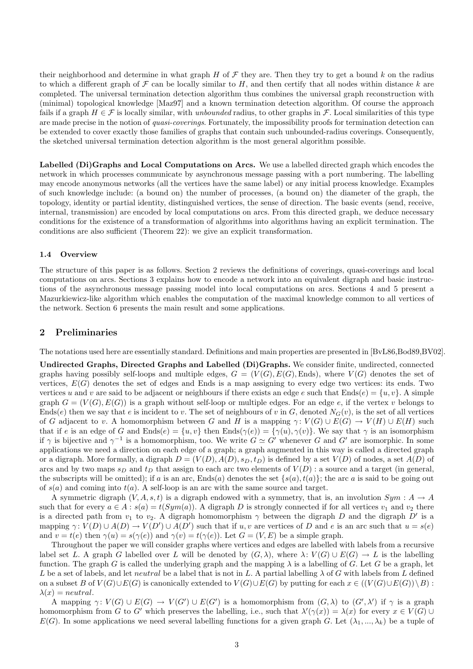their neighborhood and determine in what graph H of  $\mathcal F$  they are. Then they try to get a bound k on the radius to which a different graph of  $\mathcal F$  can be locally similar to H, and then certify that all nodes within distance k are completed. The universal termination detection algorithm thus combines the universal graph reconstruction with (minimal) topological knowledge [Maz97] and a known termination detection algorithm. Of course the approach fails if a graph  $H \in \mathcal{F}$  is locally similar, with unbounded radius, to other graphs in  $\mathcal{F}$ . Local similarities of this type are made precise in the notion of *quasi-coverings*. Fortunately, the impossibility proofs for termination detection can be extended to cover exactly those families of graphs that contain such unbounded-radius coverings. Consequently, the sketched universal termination detection algorithm is the most general algorithm possible.

Labelled (Di)Graphs and Local Computations on Arcs. We use a labelled directed graph which encodes the network in which processes communicate by asynchronous message passing with a port numbering. The labelling may encode anonymous networks (all the vertices have the same label) or any initial process knowledge. Examples of such knowledge include: (a bound on) the number of processes, (a bound on) the diameter of the graph, the topology, identity or partial identity, distinguished vertices, the sense of direction. The basic events (send, receive, internal, transmission) are encoded by local computations on arcs. From this directed graph, we deduce necessary conditions for the existence of a transformation of algorithms into algorithms having an explicit termination. The conditions are also sufficient (Theorem 22): we give an explicit transformation.

### 1.4 Overview

The structure of this paper is as follows. Section 2 reviews the definitions of coverings, quasi-coverings and local computations on arcs. Sections 3 explains how to encode a network into an equivalent digraph and basic instructions of the asynchronous message passing model into local computations on arcs. Sections 4 and 5 present a Mazurkiewicz-like algorithm which enables the computation of the maximal knowledge common to all vertices of the network. Section 6 presents the main result and some applications.

## 2 Preliminaries

The notations used here are essentially standard. Definitions and main properties are presented in [BvL86,Bod89,BV02].

Undirected Graphs, Directed Graphs and Labelled (Di)Graphs. We consider finite, undirected, connected graphs having possibly self-loops and multiple edges,  $G = (V(G), E(G), E(ds))$ , where  $V(G)$  denotes the set of vertices,  $E(G)$  denotes the set of edges and Ends is a map assigning to every edge two vertices: its ends. Two vertices u and v are said to be adjacent or neighbours if there exists an edge e such that  $Ends(e) = \{u, v\}$ . A simple graph  $G = (V(G), E(G))$  is a graph without self-loop or multiple edges. For an edge e, if the vertex v belongs to Ends(e) then we say that e is incident to v. The set of neighbours of v in G, denoted  $N_G(v)$ , is the set of all vertices of G adjacent to v. A homomorphism between G and H is a mapping  $\gamma: V(G) \cup E(G) \to V(H) \cup E(H)$  such that if e is an edge of G and  $Ends(e) = \{u, v\}$  then  $Ends(\gamma(e)) = \{\gamma(u), \gamma(v)\}.$  We say that  $\gamma$  is an isomorphism if  $\gamma$  is bijective and  $\gamma^{-1}$  is a homomorphism, too. We write  $G \simeq G'$  whenever G and G' are isomorphic. In some applications we need a direction on each edge of a graph; a graph augmented in this way is called a directed graph or a digraph. More formally, a digraph  $D = (V(D), A(D), s_D, t_D)$  is defined by a set  $V(D)$  of nodes, a set  $A(D)$  of arcs and by two maps  $s_D$  and  $t_D$  that assign to each arc two elements of  $V(D)$ : a source and a target (in general, the subscripts will be omitted); if a is an arc, Ends(a) denotes the set  $\{s(a), t(a)\}$ ; the arc a is said to be going out of  $s(a)$  and coming into  $t(a)$ . A self-loop is an arc with the same source and target.

A symmetric digraph  $(V, A, s, t)$  is a digraph endowed with a symmetry, that is, an involution  $Sym : A \to A$ such that for every  $a \in A : s(a) = t(Sym(a))$ . A digraph D is strongly connected if for all vertices  $v_1$  and  $v_2$  there is a directed path from  $v_1$  to  $v_2$ . A digraph homomorphism  $\gamma$  between the digraph D and the digraph D' is a mapping  $\gamma: V(D) \cup A(D) \to V(D') \cup A(D')$  such that if  $u, v$  are vertices of D and e is an arc such that  $u = s(e)$ and  $v = t(e)$  then  $\gamma(u) = s(\gamma(e))$  and  $\gamma(v) = t(\gamma(e))$ . Let  $G = (V, E)$  be a simple graph.

Throughout the paper we will consider graphs where vertices and edges are labelled with labels from a recursive label set L. A graph G labelled over L will be denoted by  $(G, \lambda)$ , where  $\lambda: V(G) \cup E(G) \to L$  is the labelling function. The graph G is called the underlying graph and the mapping  $\lambda$  is a labelling of G. Let G be a graph, let L be a set of labels, and let *neutral* be a label that is not in L. A partial labelling  $\lambda$  of G with labels from L defined on a subset B of  $V(G) \cup E(G)$  is canonically extended to  $V(G) \cup E(G)$  by putting for each  $x \in ((V(G) \cup E(G)) \setminus B)$ :  $\lambda(x) = neutral.$ 

A mapping  $\gamma: V(G) \cup E(G) \to V(G') \cup E(G')$  is a homomorphism from  $(G, \lambda)$  to  $(G', \lambda')$  if  $\gamma$  is a graph homomorphism from G to G' which preserves the labelling, i.e., such that  $\lambda'(\gamma(x)) = \lambda(x)$  for every  $x \in V(G) \cup$  $E(G)$ . In some applications we need several labelling functions for a given graph G. Let  $(\lambda_1, ..., \lambda_k)$  be a tuple of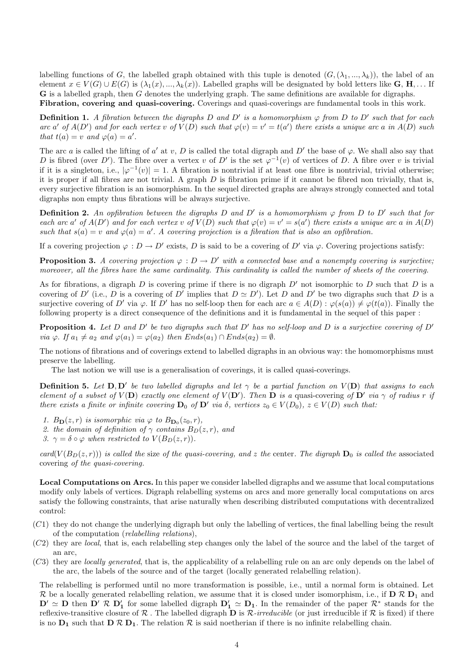labelling functions of G, the labelled graph obtained with this tuple is denoted  $(G,(\lambda_1, ..., \lambda_k))$ , the label of an element  $x \in V(G) \cup E(G)$  is  $(\lambda_1(x), ..., \lambda_k(x))$ . Labelled graphs will be designated by bold letters like **G**, **H**,... If G is a labelled graph, then G denotes the underlying graph. The same definitions are available for digraphs. Fibration, covering and quasi-covering. Coverings and quasi-coverings are fundamental tools in this work.

**Definition 1.** A fibration between the digraphs D and D' is a homomorphism  $\varphi$  from D to D' such that for each arc a' of  $A(D')$  and for each vertex v of  $V(D)$  such that  $\varphi(v) = v' = t(a')$  there exists a unique arc a in  $A(D)$  such that  $t(a) = v$  and  $\varphi(a) = a'$ .

The arc a is called the lifting of a' at v, D is called the total digraph and D' the base of  $\varphi$ . We shall also say that D is fibred (over D'). The fibre over a vertex v of D' is the set  $\varphi^{-1}(v)$  of vertices of D. A fibre over v is trivial if it is a singleton, i.e.,  $|\varphi^{-1}(v)| = 1$ . A fibration is nontrivial if at least one fibre is nontrivial, trivial otherwise; it is proper if all fibres are not trivial. A graph  $D$  is fibration prime if it cannot be fibred non trivially, that is, every surjective fibration is an isomorphism. In the sequel directed graphs are always strongly connected and total digraphs non empty thus fibrations will be always surjective.

**Definition 2.** An opfibration between the digraphs D and D' is a homomorphism  $\varphi$  from D to D' such that for each arc a' of  $A(D')$  and for each vertex v of  $V(D)$  such that  $\varphi(v) = v' = s(a')$  there exists a unique arc a in  $A(D)$ such that  $s(a) = v$  and  $\varphi(a) = a'$ . A covering projection is a fibration that is also an opfibration.

If a covering projection  $\varphi : D \to D'$  exists, D is said to be a covering of D' via  $\varphi$ . Covering projections satisfy:

**Proposition 3.** A covering projection  $\varphi : D \to D'$  with a connected base and a nonempty covering is surjective; moreover, all the fibres have the same cardinality. This cardinality is called the number of sheets of the covering.

As for fibrations, a digraph  $D$  is covering prime if there is no digraph  $D'$  not isomorphic to  $D$  such that  $D$  is a covering of D' (i.e., D is a covering of D' implies that  $D \simeq D'$ ). Let D and D' be two digraphs such that D is a surjective covering of D' via  $\varphi$ . If D' has no self-loop then for each arc  $a \in A(D)$ :  $\varphi(s(a)) \neq \varphi(t(a))$ . Finally the following property is a direct consequence of the definitions and it is fundamental in the sequel of this paper :

**Proposition 4.** Let D and D' be two digraphs such that D' has no self-loop and D is a surjective covering of D' via  $\varphi$ . If  $a_1 \neq a_2$  and  $\varphi(a_1) = \varphi(a_2)$  then  $Ends(a_1) \cap Ends(a_2) = \emptyset$ .

The notions of fibrations and of coverings extend to labelled digraphs in an obvious way: the homomorphisms must preserve the labelling.

The last notion we will use is a generalisation of coverings, it is called quasi-coverings.

**Definition 5.** Let  $D, D'$  be two labelled digraphs and let  $\gamma$  be a partial function on  $V(D)$  that assigns to each element of a subset of  $V(D)$  exactly one element of  $V(D')$ . Then D is a quasi-covering of D' via  $\gamma$  of radius r if there exists a finite or infinite covering  $D_0$  of  $D'$  via  $\delta$ , vertices  $z_0 \in V(D_0)$ ,  $z \in V(D)$  such that:

- 1.  $B_{\mathbf{D}}(z,r)$  is isomorphic via  $\varphi$  to  $B_{\mathbf{D}_0}(z_0,r)$ ,
- 2. the domain of definition of  $\gamma$  contains  $B_D(z, r)$ , and
- 3.  $\gamma = \delta \circ \varphi$  when restricted to  $V(B_D(z, r))$ .

card( $V(B_D(z, r))$ ) is called the size of the quasi-covering, and z the center. The digraph  $D_0$  is called the associated covering of the quasi-covering.

Local Computations on Arcs. In this paper we consider labelled digraphs and we assume that local computations modify only labels of vertices. Digraph relabelling systems on arcs and more generally local computations on arcs satisfy the following constraints, that arise naturally when describing distributed computations with decentralized control:

- $(C1)$  they do not change the underlying digraph but only the labelling of vertices, the final labelling being the result of the computation (relabelling relations),
- $(C2)$  they are *local*, that is, each relabelling step changes only the label of the source and the label of the target of an arc,
- (C3) they are locally generated, that is, the applicability of a relabelling rule on an arc only depends on the label of the arc, the labels of the source and of the target (locally generated relabelling relation).

The relabelling is performed until no more transformation is possible, i.e., until a normal form is obtained. Let R be a locally generated relabelling relation, we assume that it is closed under isomorphism, i.e., if  $D \mathcal{R} D_1$  and  $\mathbf{D}' \simeq \mathbf{D}$  then  $\mathbf{D}' \mathcal{R} \mathbf{D}'_1$  for some labelled digraph  $\mathbf{D}'_1 \simeq \mathbf{D}_1$ . In the remainder of the paper  $\mathcal{R}^*$  stands for the reflexive-transitive closure of  $\mathcal R$ . The labelled digraph **D** is  $\mathcal R$ -irreducible (or just irreducible if  $\mathcal R$  is fixed) if there is no  $D_1$  such that  $D \mathcal{R} D_1$ . The relation  $\mathcal R$  is said noetherian if there is no infinite relabelling chain.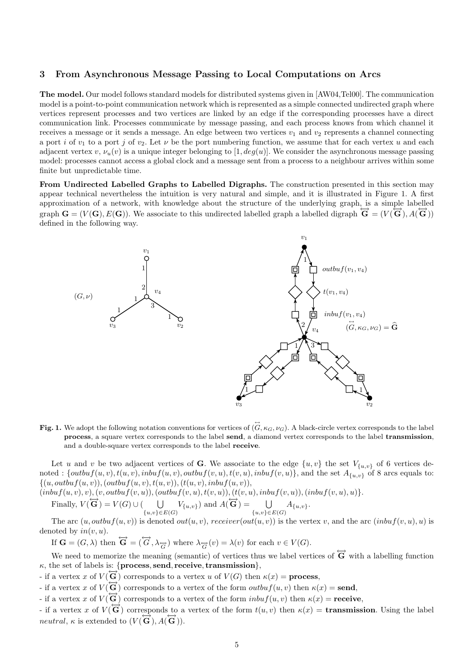## 3 From Asynchronous Message Passing to Local Computations on Arcs

The model. Our model follows standard models for distributed systems given in [AW04,Tel00]. The communication model is a point-to-point communication network which is represented as a simple connected undirected graph where vertices represent processes and two vertices are linked by an edge if the corresponding processes have a direct communication link. Processes communicate by message passing, and each process knows from which channel it receives a message or it sends a message. An edge between two vertices  $v_1$  and  $v_2$  represents a channel connecting a port i of  $v_1$  to a port j of  $v_2$ . Let  $\nu$  be the port numbering function, we assume that for each vertex u and each adjacent vertex v,  $\nu_u(v)$  is a unique integer belonging to [1, deg(u)]. We consider the asynchronous message passing model: processes cannot access a global clock and a message sent from a process to a neighbour arrives within some finite but unpredictable time.

From Undirected Labelled Graphs to Labelled Digraphs. The construction presented in this section may appear technical nevertheless the intuition is very natural and simple, and it is illustrated in Figure 1. A first approximation of a network, with knowledge about the structure of the underlying graph, is a simple labelled graph  $\mathbf{G} = (V(\mathbf{G}), E(\mathbf{G}))$ . We associate to this undirected labelled graph a labelled digraph  $\mathbf{\widetilde{G}} = (V(\mathbf{\widetilde{G}}), A(\mathbf{\widetilde{G}}))$ defined in the following way.



Fig. 1. We adopt the following notation conventions for vertices of  $(G, \kappa_G, \nu_G)$ . A black-circle vertex corresponds to the label process, a square vertex corresponds to the label send, a diamond vertex corresponds to the label transmission, and a double-square vertex corresponds to the label receive.

Let u and v be two adjacent vertices of G. We associate to the edge  $\{u, v\}$  the set  $V_{\{u, v\}}$  of 6 vertices denoted :  $\{outbuf(u,v),t(u,v),inbuf(u,v),outbuf(v,u),t(v,u),inbuf(v,u)\}$ , and the set  $A_{\{u,v\}}$  of 8 arcs equals to:  $\{(u, outbuf(u, v)),(outbuf(u, v), t(u, v)),(t(u, v), inbuf(u, v)),$ 

 $(\text{inbuf}(u, v), v), (v, \text{outbuf}(v, u)), (\text{outbuf}(v, u), t(v, u)), (t(v, u), \text{inbuf}(v, u)), (\text{inbuf}(v, u), u)\}.$ 

Finally,  $V(\overleftrightarrow{\mathbf{G}}) = V(G) \cup (\bigcup$  $\bigcup_{\{u,v\}\in E(G)} V_{\{u,v\}}$  and  $A(\overleftrightarrow{\mathbf{G}}) = \bigcup_{\{u,v\}\in E(G)} V_{\{u,v\}}$  $\bigcup_{\{u,v\} \in E(G)} A_{\{u,v\}}.$ 

The arc  $(u, outbuf(u, v))$  is denoted  $out(u, v)$ , receiver $(out(u, v))$  is the vertex v, and the arc  $(inbuf(v, u), u)$  is denoted by  $in(v, u)$ .

If  $\mathbf{G} = (G, \lambda)$  then  $\overleftrightarrow{\mathbf{G}} = (\overleftrightarrow{G}, \lambda_{\overrightarrow{G}})$  where  $\lambda_{\overrightarrow{G}}(v) = \lambda(v)$  for each  $v \in V(G)$ .

We need to memorize the meaning (semantic) of vertices thus we label vertices of  $\overleftrightarrow{G}$  with a labelling function  $\kappa$ , the set of labels is: {process, send, receive, transmission},

 $\mathcal{L}$  if a vertex x of  $V(\vec{G})$  corresponds to a vertex u of  $V(G)$  then  $\kappa(x) =$  **process**,

- if a vertex x of  $V(\overrightarrow{G})$  corresponds to a vertex of the form  $outbuf(u,v)$  then  $\kappa(x) =$  send,

- if a vertex x of  $V(\vec{G})$  corresponds to a vertex of the form  $inbut(u, v)$  then  $\kappa(x)$  = **receive**,

- if a vertex x of  $V(\vec{G})$  corresponds to a vertex of the form  $t(u, v)$  then  $\kappa(x) =$  **transmission**. Using the label neutral,  $\kappa$  is extended to  $(V(\vec{G}), A(\vec{G}))$ .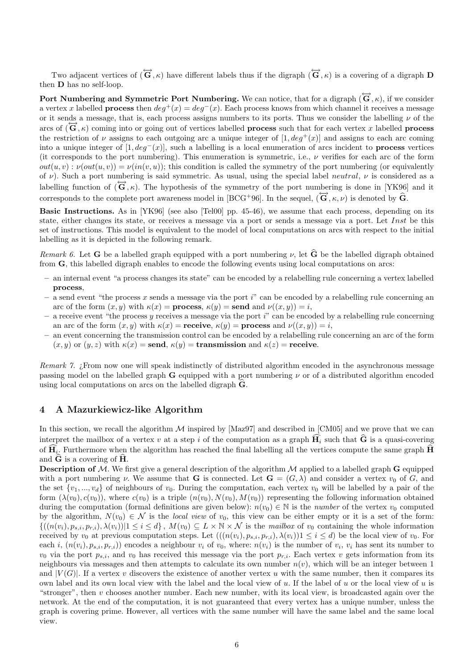Two adjacent vertices of  $(\overleftrightarrow{\mathbf{G}}, \kappa)$  have different labels thus if the digraph  $(\overleftrightarrow{\mathbf{G}}, \kappa)$  is a covering of a digraph D then D has no self-loop.

Port Numbering and Symmetric Port Numbering. We can notice, that for a digraph  $(\overline{G}, \kappa)$ , if we consider a vertex x labelled **process** then  $deg^+(x) = deg^-(x)$ . Each process knows from which channel it receives a message or it sends a message, that is, each process assigns numbers to its ports. Thus we consider the labelling  $\nu$  of the arcs of  $(\vec{G}, \kappa)$  coming into or going out of vertices labelled **process** such that for each vertex x labelled **process** the restriction of  $\nu$  assigns to each outgoing arc a unique integer of [1,  $deq^+(x)$ ] and assigns to each arc coming into a unique integer of  $[1, deg^-(x)]$ , such a labelling is a local enumeration of arcs incident to **process** vertices (it corresponds to the port numbering). This enumeration is symmetric, i.e.,  $\nu$  verifies for each arc of the form  $out(u, v) : \nu(out(u, v)) = \nu(in(v, u));$  this condition is called the symmetry of the port numbering (or equivalently of  $\nu$ ). Such a port numbering is said symmetric. As usual, using the special label *neutral*,  $\nu$  is considered as a labelling function of  $(\vec{G}, \kappa)$ . The hypothesis of the symmetry of the port numbering is done in [YK96] and it corresponds to the complete port awareness model in [BCG+96]. In the sequel,  $(\overleftrightarrow{\mathbf{G}}, \kappa, \nu)$  is denoted by  $\hat{\mathbf{G}}$ .

Basic Instructions. As in [YK96] (see also [Tel00] pp. 45-46), we assume that each process, depending on its state, either changes its state, or receives a message via a port or sends a message via a port. Let Inst be this set of instructions. This model is equivalent to the model of local computations on arcs with respect to the initial labelling as it is depicted in the following remark.

Remark 6. Let **G** be a labelled graph equipped with a port numbering  $\nu$ , let  $\hat{G}$  be the labelled digraph obtained from G, this labelled digraph enables to encode the following events using local computations on arcs:

- an internal event "a process changes its state" can be encoded by a relabelling rule concerning a vertex labelled process,
- $-$  a send event "the process x sends a message via the port i" can be encoded by a relabelling rule concerning an arc of the form  $(x, y)$  with  $\kappa(x) =$  process,  $\kappa(y) =$  send and  $\nu((x, y)) = i$ ,
- $-$  a receive event "the process y receives a message via the port i" can be encoded by a relabelling rule concerning an arc of the form  $(x, y)$  with  $\kappa(x) =$  **receive**,  $\kappa(y) =$  **process** and  $\nu((x, y)) = i$ ,
- an event concerning the transmission control can be encoded by a relabelling rule concerning an arc of the form  $(x, y)$  or  $(y, z)$  with  $\kappa(x) = \text{send}, \kappa(y) = \text{transmission}$  and  $\kappa(z) = \text{receive}$ .

Remark 7. *i* From now one will speak indistinctly of distributed algorithm encoded in the asynchronous message passing model on the labelled graph  $G$  equipped with a port numbering  $\nu$  or of a distributed algorithm encoded using local computations on arcs on the labelled digraph  $\hat{G}$ .

# 4 A Mazurkiewicz-like Algorithm

In this section, we recall the algorithm  $M$  inspired by [Maz97] and described in [CM05] and we prove that we can interpret the mailbox of a vertex v at a step i of the computation as a graph  $\mathbf{H}_i$  such that  $\hat{\mathbf{G}}$  is a quasi-covering of  $\mathbf{H}_{i}$ . Furthermore when the algorithm has reached the final labelling all the vertices compute the same graph  $\mathbf{H}_{i}$ and  $G$  is a covering of  $H$ .

**Description of M.** We first give a general description of the algorithm  $M$  applied to a labelled graph  $G$  equipped with a port numbering v. We assume that **G** is connected. Let  $\mathbf{G} = (G, \lambda)$  and consider a vertex  $v_0$  of G, and the set  $\{v_1, ..., v_d\}$  of neighbours of  $v_0$ . During the computation, each vertex  $v_0$  will be labelled by a pair of the form  $(\lambda(v_0), c(v_0))$ , where  $c(v_0)$  is a triple  $(n(v_0), N(v_0), M(v_0))$  representing the following information obtained during the computation (formal definitions are given below):  $n(v_0) \in \mathbb{N}$  is the *number* of the vertex  $v_0$  computed by the algorithm,  $N(v_0) \in \mathcal{N}$  is the local view of  $v_0$ , this view can be either empty or it is a set of the form:  $\{(n(v_i), p_{s,i}, p_{r,i}), \lambda(v_i)) | 1 \leq i \leq d\}, M(v_0) \subseteq L \times \mathbb{N} \times \mathcal{N}$  is the mailbox of  $v_0$  containing the whole information received by  $v_0$  at previous computation steps. Let  $(((n(v_i), p_{s,i}, p_{r,i}), \lambda(v_i))1 \leq i \leq d)$  be the local view of  $v_0$ . For each i,  $(n(v_i), p_{s,i}, p_{r,i})$  encodes a neighbour  $v_i$  of  $v_0$ , where:  $n(v_i)$  is the number of  $v_i$ ,  $v_i$  has sent its number to  $v_0$  via the port  $p_{s,i}$ , and  $v_0$  has received this message via the port  $p_{r,i}$ . Each vertex v gets information from its neighbours via messages and then attempts to calculate its own number  $n(v)$ , which will be an integer between 1 and  $|V(G)|$ . If a vertex v discovers the existence of another vertex u with the same number, then it compares its own label and its own local view with the label and the local view of  $u$ . If the label of  $u$  or the local view of  $u$  is "stronger", then v chooses another number. Each new number, with its local view, is broadcasted again over the network. At the end of the computation, it is not guaranteed that every vertex has a unique number, unless the graph is covering prime. However, all vertices with the same number will have the same label and the same local view.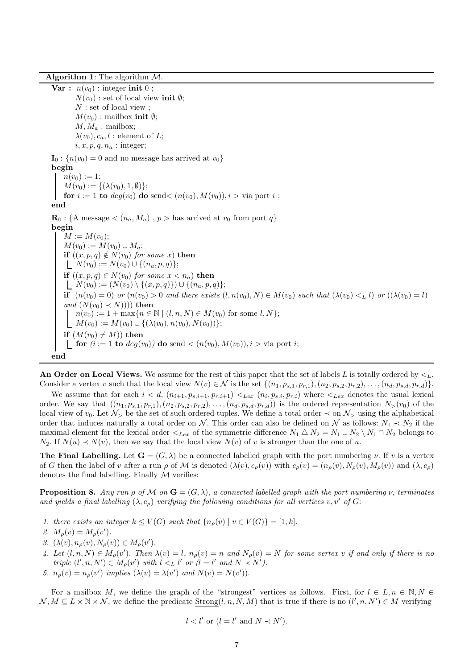Algorithm 1: The algorithm  $M$ 

Var :  $n(v_0)$  : integer init 0;  $N(v_0)$ : set of local view init  $\emptyset$ ; N : set of local view ;  $M(v_0)$ : mailbox init  $\emptyset$ ;  $M, M_a$ : mailbox;  $\lambda(v_0), c_a, l$ : element of L;  $i, x, p, q, n_a$ : integer;  $\mathbf{I}_0$ :  $\{n(v_0) = 0$  and no message has arrived at  $v_0$ } begin  $n(v_0) := 1;$  $M(v_0) := \{(\lambda(v_0), 1, \emptyset)\};$ for  $i := 1$  to  $deg(v_0)$  do send $\lt (n(v_0), M(v_0)), i > \text{via port } i$ ; end  $\mathbf{R}_0$ : {A message  $\langle (n_a, M_a) \rangle$ ,  $p >$  has arrived at  $v_0$  from port q} begin  $M := M(v_0);$  $M(v_0) := M(v_0) \cup M_a;$ if  $((x, p, q) \notin N(v_0)$  for some x) then  $N(v_0) := N(v_0) \cup \{(n_a, p, q)\};$ if  $((x, p, q) \in N(v_0)$  for some  $x < n_a)$  then  $\begin{array}{l}\n\Box\n\end{array}\n\begin{bmatrix}\n\chi(v_0), \chi(v_0) \\
\chi(v_0)\n\end{bmatrix} = (N(v_0) \setminus \{(x, p, q)\}) \cup \{(n_a, p, q)\};\n\end{array}$ if  $(n(v_0) = 0)$  or  $(n(v_0) > 0$  and there exists  $(l, n(v_0), N) \in M(v_0)$  such that  $(\lambda(v_0) <_L l)$  or  $((\lambda(v_0) = l)$ and  $(N(v_0) \prec N))$  then  $n(v_0) := 1 + \max\{n \in \mathbb{N} \mid (l, n, N) \in M(v_0) \text{ for some } l, N\};$  $M(v_0) := M(v_0) \cup \{ (\lambda(v_0), n(v_0), N(v_0)) \};$ if  $(M(v_0) \neq M)$  then **for**  $(i := 1 \text{ to } deg(v_0))$  do send  $\lt (n(v_0), M(v_0)), i > \text{via port } i;$ end

An Order on Local Views. We assume for the rest of this paper that the set of labels L is totally ordered by  $\leq_L$ . Consider a vertex v such that the local view  $N(v) \in \mathcal{N}$  is the set  $\{(n_1, p_{s,1}, p_{r,1}), (n_2, p_{s,2}, p_{r,2}), \ldots, (n_d, p_{s,d}, p_{r,d})\}.$ 

We assume that for each  $i < d$ ,  $(n_{i+1}, p_{s,i+1}, p_{r,i+1}) <_{Lex} (n_i, p_{s,i}, p_{r,i})$  where  $\lt_{Lex}$  denotes the usual lexical order. We say that  $((n_1, p_{s,1}, p_{r,1}), (n_2, p_{s,2}, p_{r,2}), \ldots, (n_d, p_{s,d}, p_{r,d}))$  is the ordered representation  $N_>(v_0)$  of the local view of  $v_0$ . Let  $\mathcal{N}_>$  be the set of such ordered tuples. We define a total order  $\prec$  on  $\mathcal{N}_>$  using the alphabetical order that induces naturally a total order on N. This order can also be defined on N as follows:  $N_1 \prec N_2$  if the maximal element for the lexical order  $\langle_{Lex}$  of the symmetric difference  $N_1 \triangle N_2 = N_1 \cup N_2 \setminus N_1 \cap N_2$  belongs to  $N_2$ . If  $N(u) \prec N(v)$ , then we say that the local view  $N(v)$  of v is stronger than the one of u.

**The Final Labelling.** Let  $\mathbf{G} = (G, \lambda)$  be a connected labelled graph with the port numbering  $\nu$ . If v is a vertex of G then the label of v after a run  $\rho$  of M is denoted  $(\lambda(v), c_{\rho}(v))$  with  $c_{\rho}(v) = (n_{\rho}(v), N_{\rho}(v), M_{\rho}(v))$  and  $(\lambda, c_{\rho})$ denotes the final labelling. Finally  $M$  verifies:

**Proposition 8.** Any run  $\rho$  of M on  $\mathbf{G} = (G, \lambda)$ , a connected labelled graph with the port numbering  $\nu$ , terminates and yields a final labelling  $(\lambda, c_o)$  verifying the following conditions for all vertices v, v' of G:

- 1. there exists an integer  $k \leq V(G)$  such that  $\{n_o(v) \mid v \in V(G)\} = [1, k].$
- 2.  $M_{\rho}(v) = M_{\rho}(v')$ .
- 3.  $(\lambda(v), n_{\rho}(v), N_{\rho}(v)) \in M_{\rho}(v').$
- 4. Let  $(l, n, N) \in M_\rho(v')$ . Then  $\lambda(v) = l$ ,  $n_\rho(v) = n$  and  $N_\rho(v) = N$  for some vertex v if and only if there is no triple  $(l', n, N') \in M_\rho(v')$  with  $l <_L l'$  or  $(l = l'$  and  $N \prec N'$ .
- 5.  $n_{\rho}(v) = n_{\rho}(v')$  implies  $(\lambda(v) = \lambda(v')$  and  $N(v) = N(v')$ .

For a mailbox M, we define the graph of the "strongest" vertices as follows. First, for  $l \in L, n \in \mathbb{N}, N \in$  $\mathcal{N}, M \subseteq L \times \mathbb{N} \times \mathcal{N}$ , we define the predicate Strong $(l, n, N, M)$  that is true if there is no  $(l', n, N') \in M$  verifying

$$
l < l' \text{ or } (l = l' \text{ and } N \prec N').
$$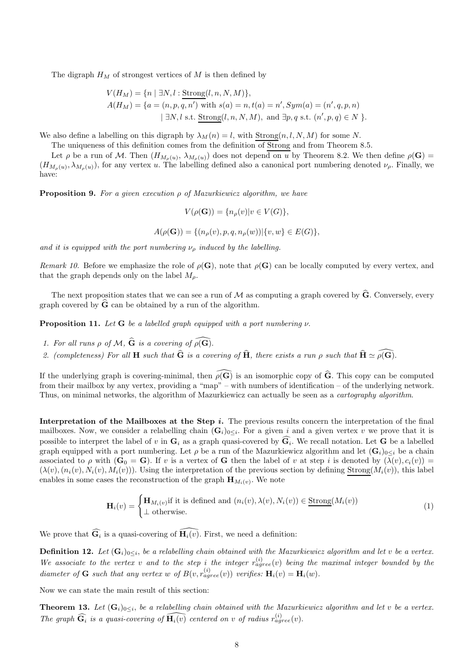The digraph  $H_M$  of strongest vertices of M is then defined by

$$
V(H_M) = \{ n \mid \exists N, l : \text{Strong}(l, n, N, M) \},\newline A(H_M) = \{ a = (n, p, q, n') \text{ with } s(a) = n, t(a) = n', Sym(a) = (n', q, p, n) \mid \exists N, l \text{ s.t. Strong}(l, n, N, M), \text{ and } \exists p, q \text{ s.t. } (n', p, q) \in N \}.
$$

We also define a labelling on this digraph by  $\lambda_M(n) = l$ , with  $Strong(n, l, N, M)$  for some N.

The uniqueness of this definition comes from the definition of Strong and from Theorem 8.5.

Let  $\rho$  be a run of M. Then  $(H_{M_{\rho}(u)}, \lambda_{M_{\rho}(u)})$  does not depend on u by Theorem 8.2. We then define  $\rho(\mathbf{G}) =$  $(H_{M_{\rho}(u)}, \lambda_{M_{\rho}(u)})$ , for any vertex u. The labelling defined also a canonical port numbering denoted  $\nu_{\rho}$ . Finally, we have:

**Proposition 9.** For a given execution  $\rho$  of Mazurkiewicz algorithm, we have

$$
V(\rho(\mathbf{G})) = \{n_{\rho}(v)|v \in V(G)\},\
$$

$$
A(\rho(\mathbf{G})) = \{ (n_{\rho}(v), p, q, n_{\rho}(w)) | \{v, w\} \in E(G) \},
$$

and it is equipped with the port numbering  $\nu<sub>o</sub>$  induced by the labelling.

Remark 10. Before we emphasize the role of  $\rho(G)$ , note that  $\rho(G)$  can be locally computed by every vertex, and that the graph depends only on the label  $M<sub>o</sub>$ .

The next proposition states that we can see a run of  $M$  as computing a graph covered by  $\hat{G}$ . Conversely, every graph covered by  $G$  can be obtained by a run of the algorithm.

**Proposition 11.** Let **G** be a labelled graph equipped with a port numbering  $\nu$ .

- 1. For all runs  $\rho$  of M,  $\hat{G}$  is a covering of  $\rho(\widehat{G})$ .
- 2. (completeness) For all H such that  $\hat{G}$  is a covering of  $\hat{H}$ , there exists a run  $\rho$  such that  $\hat{H} \simeq \widehat{\rho(G)}$ .

If the underlying graph is covering-minimal, then  $\widehat{\rho(G)}$  is an isomorphic copy of  $\widehat{G}$ . This copy can be computed from their mailbox by any vertex, providing a "map" – with numbers of identification – of the underlying network. Thus, on minimal networks, the algorithm of Mazurkiewicz can actually be seen as a *cartography algorithm*.

Interpretation of the Mailboxes at the Step  $i$ . The previous results concern the interpretation of the final mailboxes. Now, we consider a relabelling chain  $(G_i)_{0 \leq i}$ . For a given i and a given vertex v we prove that it is possible to interpret the label of v in  $\mathbf{G}_i$  as a graph quasi-covered by  $\mathbf{G}_i$ . We recall notation. Let  $\mathbf{G}$  be a labelled graph equipped with a port numbering. Let  $\rho$  be a run of the Mazurkiewicz algorithm and let  $(G_i)_{0\leq i}$  be a chain associated to  $\rho$  with  $(\mathbf{G}_0 = \mathbf{G})$ . If v is a vertex of G then the label of v at step i is denoted by  $(\lambda(v), c_i(v)) =$  $(\lambda(v), (n_i(v), N_i(v), M_i(v)))$ . Using the interpretation of the previous section by defining Strong $(M_i(v))$ , this label enables in some cases the reconstruction of the graph  $\mathbf{H}_{M_i(v)}$ . We note

$$
\mathbf{H}_{i}(v) = \begin{cases} \mathbf{H}_{M_{i}(v)} \text{if it is defined and } (n_{i}(v), \lambda(v), N_{i}(v)) \in \underline{\text{Strong}}(M_{i}(v)) \\ \bot \text{ otherwise.} \end{cases}
$$
(1)

We prove that  $\widehat{\mathbf{G}_i}$  is a quasi-covering of  $\widehat{\mathbf{H}_i(v)}$ . First, we need a definition:

**Definition 12.** Let  $(G_i)_{0\leq i}$ , be a relabelling chain obtained with the Mazurkiewicz algorithm and let v be a vertex. We associate to the vertex v and to the step i the integer  $r_{agree}^{(i)}(v)$  being the maximal integer bounded by the diameter of **G** such that any vertex w of  $B(v, r_{agree}^{(i)}(v))$  verifies:  $\mathbf{H}_i(v) = \mathbf{H}_i(w)$ .

Now we can state the main result of this section:

**Theorem 13.** Let  $(G_i)_{0\leq i}$ , be a relabelling chain obtained with the Mazurkiewicz algorithm and let v be a vertex. The graph  $\widehat{\mathbf{G}_i}$  is a quasi-covering of  $\widehat{\mathbf{H}_i(v)}$  centered on v of radius  $r_{agree}^{(i)}(v)$ .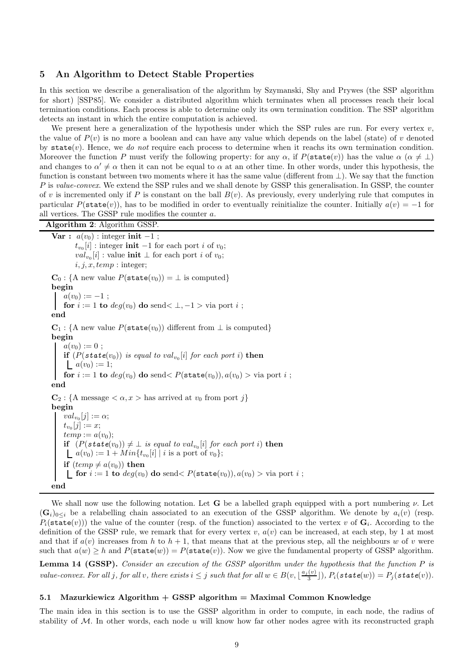## 5 An Algorithm to Detect Stable Properties

In this section we describe a generalisation of the algorithm by Szymanski, Shy and Prywes (the SSP algorithm for short) [SSP85]. We consider a distributed algorithm which terminates when all processes reach their local termination conditions. Each process is able to determine only its own termination condition. The SSP algorithm detects an instant in which the entire computation is achieved.

We present here a generalization of the hypothesis under which the SSP rules are run. For every vertex  $v$ , the value of  $P(v)$  is no more a boolean and can have any value which depends on the label (state) of v denoted by state(v). Hence, we do not require each process to determine when it reachs its own termination condition. Moreover the function P must verify the following property: for any  $\alpha$ , if  $P(\text{state}(v))$  has the value  $\alpha$  ( $\alpha \neq \perp$ ) and changes to  $\alpha' \neq \alpha$  then it can not be equal to  $\alpha$  at an other time. In other words, under this hypothesis, the function is constant between two moments where it has the same value (different from ⊥). We say that the function P is value-convex. We extend the SSP rules and we shall denote by GSSP this generalisation. In GSSP, the counter of v is incremented only if P is constant on the ball  $B(v)$ . As previously, every underlying rule that computes in particular  $P(\text{state}(v))$ , has to be modified in order to eventually reinitialize the counter. Initially  $a(v) = -1$  for all vertices. The GSSP rule modifies the counter a.

Algorithm 2: Algorithm GSSP. Var :  $a(v_0)$  : integer init -1;  $t_{v_0}[i]$  : integer **init** -1 for each port i of  $v_0$ ;  $val_{v_0}[i]$ : value **init**  $\perp$  for each port *i* of  $v_0$ ;  $i, j, x, temp: integer;$  $\mathbf{C}_0$ : {A new value  $P(\texttt{state}(v_0)) = \perp$  is computed} begin  $a(v_0) := -1$ ; for  $i := 1$  to  $deg(v_0)$  do send $\lt \perp, -1 > \text{via port } i$ ; end  $C_1$ : {A new value  $P(\text{state}(v_0))$  different from  $\perp$  is computed} begin  $a(v_0) := 0;$ if  $(P(state(v_0))$  is equal to  $val_{v_0}[i]$  for each port i) then  $a(v_0) := 1;$ for  $i := 1$  to  $deg(v_0)$  do send<  $P(\text{state}(v_0)), a(v_0) > \text{via port } i$ ; end  $\mathbf{C}_2$ : {A message  $\langle \alpha, x \rangle$  has arrived at  $v_0$  from port j} begin  $val_{v_0}[j] := \alpha;$  $t_{v_0}[j] := x;$  $temp := a(v_0);$ if  $(P(\text{state}(v_0)) \neq \bot \text{ is equal to } val_{v_0}[i]$  for each port i) then  $a(v_0) := 1 + Min\{t_{v_0}[i] \mid i \text{ is a port of } v_0\};$ if  $temp \neq a(v_0)$  then **for**  $i := 1$  to  $deg(v_0)$  do send  $\lt P(\text{state}(v_0)), a(v_0) > \text{via port } i$ ; end

We shall now use the following notation. Let **G** be a labelled graph equipped with a port numbering  $\nu$ . Let  $(\mathbf{G}_i)_{0\leq i}$  be a relabelling chain associated to an execution of the GSSP algorithm. We denote by  $a_i(v)$  (resp.  $P_i(\texttt{state}(v))$  the value of the counter (resp. of the function) associated to the vertex v of  $\mathbf{G}_i$ . According to the definition of the GSSP rule, we remark that for every vertex  $v, a(v)$  can be increased, at each step, by 1 at most and that if  $a(v)$  increases from h to  $h + 1$ , that means that at the previous step, all the neighbours w of v were such that  $a(w) \geq h$  and  $P(\text{state}(w)) = P(\text{state}(v))$ . Now we give the fundamental property of GSSP algorithm.

Lemma 14 (GSSP). Consider an execution of the GSSP algorithm under the hypothesis that the function P is value-convex. For all j, for all v, there exists  $i \leq j$  such that for all  $w \in B(v, \lfloor \frac{a_j(v)}{3} \rfloor)$  $\frac{(v)}{3}$ ]),  $P_i(\textit{state}(w)) = P_j(\textit{state}(v)).$ 

#### 5.1 Mazurkiewicz Algorithm  $+$  GSSP algorithm  $=$  Maximal Common Knowledge

The main idea in this section is to use the GSSP algorithm in order to compute, in each node, the radius of stability of  $M$ . In other words, each node u will know how far other nodes agree with its reconstructed graph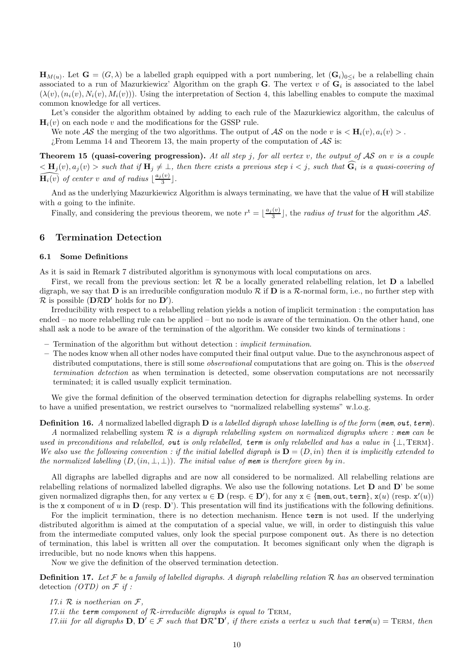$\mathbf{H}_{M(u)}$ . Let  $\mathbf{G} = (G, \lambda)$  be a labelled graph equipped with a port numbering, let  $(\mathbf{G}_i)_{0 \leq i}$  be a relabelling chain associated to a run of Mazurkiewicz' Algorithm on the graph G. The vertex  $v$  of  $G_i$  is associated to the label  $(\lambda(v), (n_i(v), N_i(v), M_i(v)))$ . Using the interpretation of Section 4, this labelling enables to compute the maximal common knowledge for all vertices.

Let's consider the algorithm obtained by adding to each rule of the Mazurkiewicz algorithm, the calculus of  $\mathbf{H}_{i}(v)$  on each node v and the modifications for the GSSP rule.

We note AS the merging of the two algorithms. The output of AS on the node v is  $\langle H_i(v), a_i(v) \rangle$ . ¿From Lemma 14 and Theorem 13, the main property of the computation of  $\mathcal{AS}$  is:

Theorem 15 (quasi-covering progression). At all step j, for all vertex v, the output of  $AS$  on v is a couple  $\langle \mathbf{H}_j(v), a_j(v) \rangle$  such that if  $\mathbf{H}_j \neq \bot$ , then there exists a previous step  $i < j$ , such that  $\widehat{\mathbf{G}}_i$  is a quasi-covering of  $\widehat{\mathbf{H}_{i}(v)}$  of center v and of radius  $\lfloor \frac{a_{j}(v)}{3} \rfloor$ .

And as the underlying Mazurkiewicz Algorithm is always terminating, we have that the value of **H** will stabilize with *a* going to the infinite.

Finally, and considering the previous theorem, we note  $r^t = \lfloor \frac{a_j(v)}{3} \rfloor$ , the *radius of trust* for the algorithm AS.

# 6 Termination Detection

## 6.1 Some Definitions

As it is said in Remark 7 distributed algorithm is synonymous with local computations on arcs.

First, we recall from the previous section: let  $R$  be a locally generated relabelling relation, let  $D$  a labelled digraph, we say that **D** is an irreducible configuration modulo  $\mathcal{R}$  if **D** is a  $\mathcal{R}$ -normal form, i.e., no further step with  $\mathcal{R}$  is possible (DRD' holds for no D').

Irreducibility with respect to a relabelling relation yields a notion of implicit termination : the computation has ended – no more relabelling rule can be applied – but no node is aware of the termination. On the other hand, one shall ask a node to be aware of the termination of the algorithm. We consider two kinds of terminations :

 $-$  Termination of the algorithm but without detection : *implicit termination*.

– The nodes know when all other nodes have computed their final output value. Due to the asynchronous aspect of distributed computations, there is still some *observational* computations that are going on. This is the *observed* termination detection as when termination is detected, some observation computations are not necessarily terminated; it is called usually explicit termination.

We give the formal definition of the observed termination detection for digraphs relabelling systems. In order to have a unified presentation, we restrict ourselves to "normalized relabelling systems" w.l.o.g.

**Definition 16.** A normalized labelled digraph  $D$  is a labelled digraph whose labelling is of the form (mem, out, term).

A normalized relabelling system  $R$  is a digraph relabelling system on normalized digraphs where : mem can be used in preconditions and relabelled, out is only relabelled, term is only relabelled and has a value in  $\{\perp, \text{TERM}\}.$ We also use the following convention : if the initial labelled digraph is  $D = (D, in)$  then it is implicitly extended to the normalized labelling  $(D, (in, \perp, \perp))$ . The initial value of mem is therefore given by in.

All digraphs are labelled digraphs and are now all considered to be normalized. All relabelling relations are relabelling relations of normalized labelled digraphs. We also use the following notations. Let  $D$  and  $D'$  be some given normalized digraphs then, for any vertex  $u \in \mathbf{D}$  (resp.  $\in \mathbf{D}'$ ), for any  $\mathbf{x} \in \{\texttt{mem}, \texttt{out}, \texttt{term}\}, \mathbf{x}(u)$  (resp.  $\mathbf{x}'(u)$ ) is the x component of u in  $\bf{D}$  (resp.  $\bf{D}'$ ). This presentation will find its justifications with the following definitions.

For the implicit termination, there is no detection mechanism. Hence term is not used. If the underlying distributed algorithm is aimed at the computation of a special value, we will, in order to distinguish this value from the intermediate computed values, only look the special purpose component out. As there is no detection of termination, this label is written all over the computation. It becomes significant only when the digraph is irreducible, but no node knows when this happens.

Now we give the definition of the observed termination detection.

**Definition 17.** Let  $\mathcal F$  be a family of labelled digraphs. A digraph relabelling relation  $\mathcal R$  has an observed termination detection  $(OTD)$  on  $\mathcal F$  if :

17.*i*  $\mathcal{R}$  is noetherian on  $\mathcal{F}$ ,

17.ii the term component of  $\mathcal{R}\text{-irreducible digraphs}$  is equal to TERM,

17.iii for all digraphs  $D, D' \in \mathcal{F}$  such that  $D \mathcal{R}^* D'$ , if there exists a vertex u such that  $term(u) = Term$ , then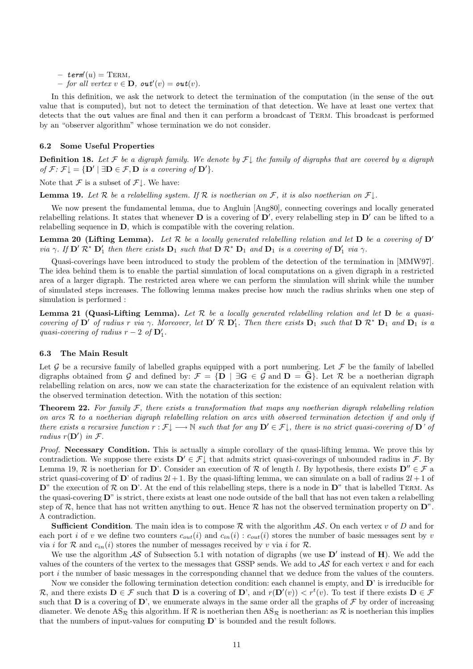$-$  term' $(u)$  = TERM,

 $-$  for all vertex  $v \in \mathbf{D}$ , out' $(v) = \mathbf{out}(v)$ .

In this definition, we ask the network to detect the termination of the computation (in the sense of the out value that is computed), but not to detect the termination of that detection. We have at least one vertex that detects that the out values are final and then it can perform a broadcast of Term. This broadcast is performed by an "observer algorithm" whose termination we do not consider.

#### 6.2 Some Useful Properties

**Definition 18.** Let F be a digraph family. We denote by  $\mathcal{F} \downarrow$  the family of digraphs that are covered by a digraph of  $\mathcal{F}$ :  $\mathcal{F} \downarrow = \{ \mathbf{D}' \mid \exists \mathbf{D} \in \mathcal{F}, \mathbf{D} \text{ is a covering of } \mathbf{D}' \}.$ 

Note that  $\mathcal F$  is a subset of  $\mathcal F\mathcal I$ . We have:

**Lemma 19.** Let  $\mathcal R$  be a relabelling system. If  $\mathcal R$  is noetherian on  $\mathcal F$ , it is also noetherian on  $\mathcal F \downarrow$ .

We now present the fundamental lemma, due to Angluin [Ang80], connecting coverings and locally generated relabelling relations. It states that whenever  $D$  is a covering of  $D'$ , every relabelling step in  $D'$  can be lifted to a relabelling sequence in D, which is compatible with the covering relation.

**Lemma 20 (Lifting Lemma).** Let  $\mathcal{R}$  be a locally generated relabelling relation and let  $\mathbf{D}$  be a covering of  $\mathbf{D}'$ via  $\gamma$ . If  $\mathbf{D}' \mathcal{R}^* \mathbf{D}'_1$  then there exists  $\mathbf{D}_1$  such that  $\mathbf{D} \mathcal{R}^* \mathbf{D}_1$  and  $\mathbf{D}_1$  is a covering of  $\mathbf{D}'_1$  via  $\gamma$ .

Quasi-coverings have been introduced to study the problem of the detection of the termination in [MMW97]. The idea behind them is to enable the partial simulation of local computations on a given digraph in a restricted area of a larger digraph. The restricted area where we can perform the simulation will shrink while the number of simulated steps increases. The following lemma makes precise how much the radius shrinks when one step of simulation is performed :

**Lemma 21 (Quasi-Lifting Lemma).** Let  $\mathcal{R}$  be a locally generated relabelling relation and let  $D$  be a quasicovering of  $D'$  of radius r via  $\gamma$ . Moreover, let  $D' \mathcal{R} D'_1$ . Then there exists  $D_1$  such that  $D \mathcal{R}^* D_1$  and  $D_1$  is a quasi-covering of radius  $r - 2$  of  $\mathbf{D}'_1$ .

## 6.3 The Main Result

Let G be a recursive family of labelled graphs equipped with a port numbering. Let F be the family of labelled digraphs obtained from G and defined by:  $\mathcal{F} = \{ \mathbf{D} \mid \exists \mathbf{G} \in \mathcal{G} \text{ and } \mathbf{D} = \mathbf{G} \}$ . Let  $\mathcal{R}$  be a noetherian digraph relabelling relation on arcs, now we can state the characterization for the existence of an equivalent relation with the observed termination detection. With the notation of this section:

**Theorem 22.** For family  $F$ , there exists a transformation that maps any noetherian digraph relabelling relation on arcs  $R$  to a noetherian digraph relabelling relation on arcs with observed termination detection if and only if there exists a recursive function  $r : \mathcal{F} \downarrow \longrightarrow \mathbb{N}$  such that for any  $\mathbf{D}' \in \mathcal{F} \downarrow$ , there is no strict quasi-covering of  $\mathbf{D}'$  of radius  $r(\mathbf{D}')$  in  $\mathcal{F}$ .

Proof. Necessary Condition. This is actually a simple corollary of the quasi-lifting lemma. We prove this by contradiction. We suppose there exists  $D' \in \mathcal{F} \downarrow$  that admits strict quasi-coverings of unbounded radius in  $\mathcal{F}$ . By Lemma 19, R is noetherian for D'. Consider an execution of R of length l. By hypothesis, there exists  $D'' \in \mathcal{F}$  a strict quasi-covering of  $\mathbf{D}'$  of radius  $2l + 1$ . By the quasi-lifting lemma, we can simulate on a ball of radius  $2l + 1$  of  $\mathbf{D}^n$  the execution of  $\mathcal{R}$  on  $\mathbf{D}^n$ . At the end of this relabelling steps, there is a node in  $\mathbf{D}^n$  that is labelled TERM. As the quasi-covering D" is strict, there exists at least one node outside of the ball that has not even taken a relabelling step of  $\mathcal{R}$ , hence that has not written anything to out. Hence  $\mathcal{R}$  has not the observed termination property on  $\mathbf{D}^n$ . A contradiction.

**Sufficient Condition**. The main idea is to compose R with the algorithm  $AS$ . On each vertex v of D and for each port i of v we define two counters  $c_{out}(i)$  and  $c_{in}(i)$ :  $c_{out}(i)$  stores the number of basic messages sent by v via i for R and  $c_{in}(i)$  stores the number of messages received by v via i for R.

We use the algorithm  $\mathcal{AS}$  of Subsection 5.1 with notation of digraphs (we use  $\mathbf{D}'$  instead of  $\mathbf{H}$ ). We add the values of the counters of the vertex to the messages that GSSP sends. We add to  $\mathcal{AS}$  for each vertex v and for each port *i* the number of basic messages in the corresponding channel that we deduce from the values of the counters.

Now we consider the following termination detection condition: each channel is empty, and D' is irreducible for R, and there exists  $\mathbf{D} \in \mathcal{F}$  such that  $\mathbf{D}$  is a covering of  $\mathbf{D}'$ , and  $r(\mathbf{D}'(v)) < r^t(v)$ . To test if there exists  $\mathbf{D} \in \mathcal{F}$ such that  **is a covering of**  $**D**'$ **, we enumerate always in the same order all the graphs of**  $\mathcal F$  **by order of increasing** diameter. We denote  $AS_{\mathcal{R}}$  this algorithm. If  $\mathcal R$  is noetherian then  $AS_{\mathcal{R}}$  is noetherian: as  $\mathcal R$  is noetherian this implies that the numbers of input-values for computing D' is bounded and the result follows.